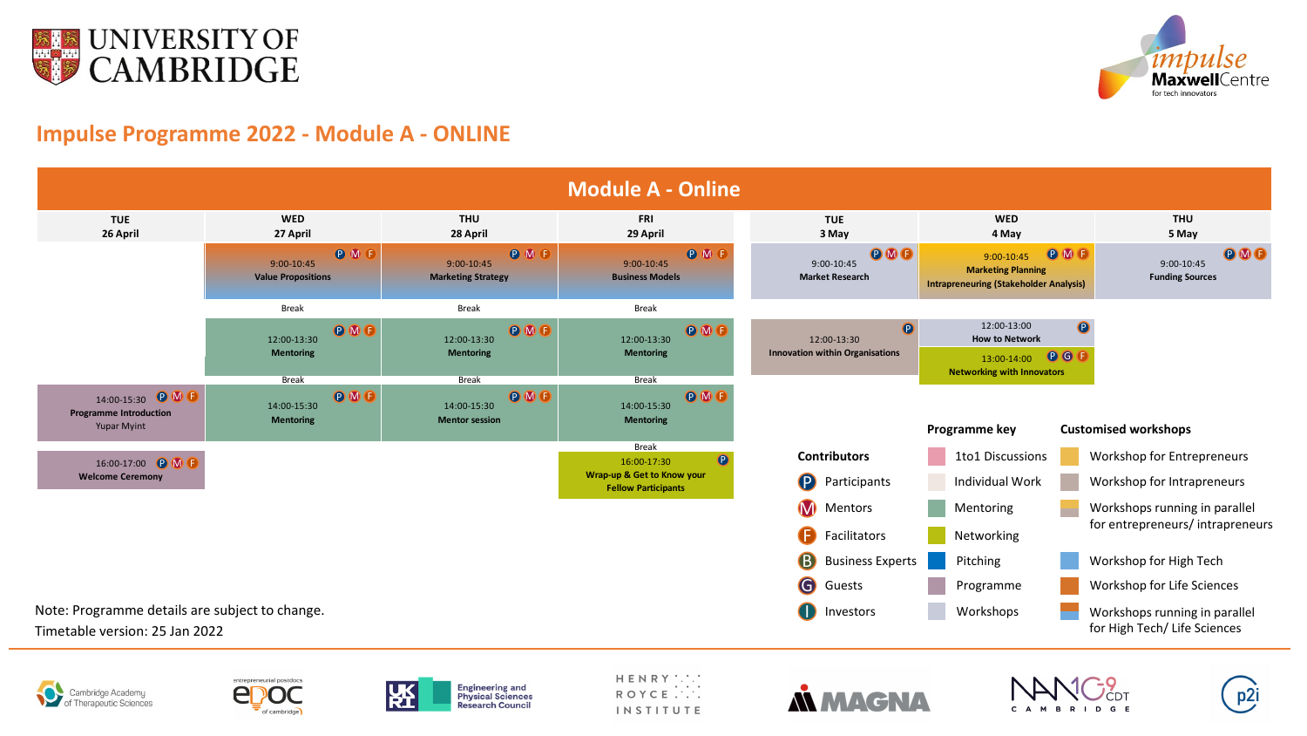







HENRY :.:.<br>ROYCE .... **INSTITUTE** 













## **Impulse Programme 2022 - Module A - ONLINE**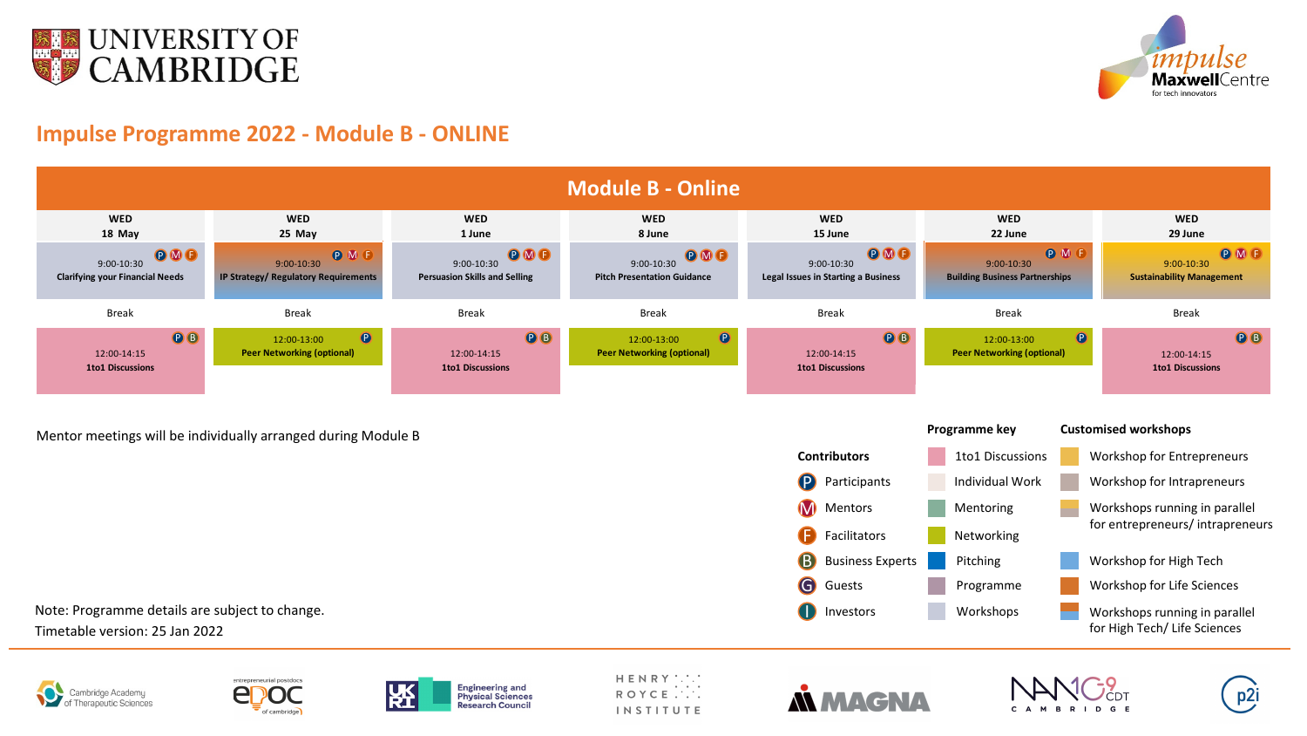



# **Impulse Programme 2022 - Module B - ONLINE**

Mentor meetings will be individually arranged during Module B

Note: Programme details are subject to change.

Timetable version: 25 Jan 2022







HENRY : . . .<br>ROYCE . . . . **INSTITUTE** 





#### **Customised workshops**



- Workshop for Entrepreneurs
	- Workshop for Intrapreneurs
		- Workshops running in parallel for entrepreneurs/ intrapreneurs
		- Workshop for High Tech
		- Workshop for Life Sciences
		- Workshops running in parallel for High Tech/ Life Sciences





I